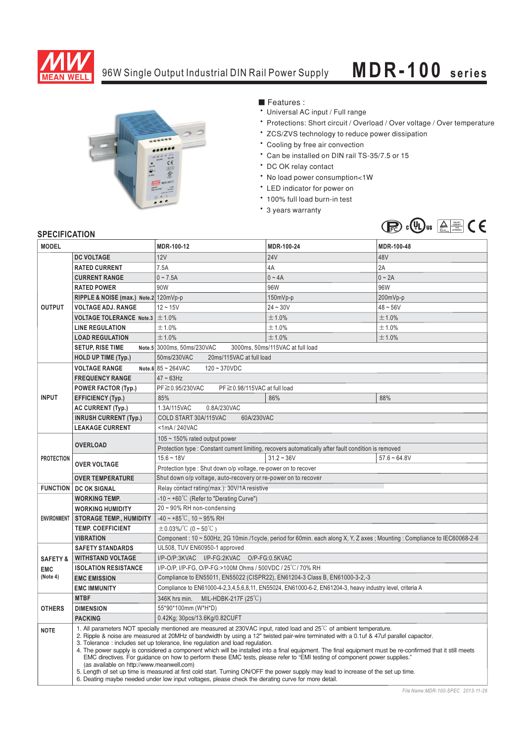

## 96W Single Output Industrial DIN Rail Power Supply **MDR-100 series**



■ Features :

- Universal AC input / Full range
- \* Protections: Short circuit / Overload / Over voltage / Over temperature
- \* ZCS/ZVS technology to reduce power dissipation
- \* Cooling by free air convection
- Can be installed on DIN rail TS-35/7.5 or 15
- \* DC OK relay contact
- \* No load power consumption<1W
- \* LED indicator for power on
- \* 100% full load burn-in test
- \* 3 years warranty



## **SPECIFICATION**

| <b>MODEL</b>           |                                                                                                                                                                                                                                                                                                                                                                                                                                                                                                                                                                                                                                                                                                                                                                                                                                                                                                                                       | MDR-100-12                                                                                                               | MDR-100-24   | MDR-100-48     |
|------------------------|---------------------------------------------------------------------------------------------------------------------------------------------------------------------------------------------------------------------------------------------------------------------------------------------------------------------------------------------------------------------------------------------------------------------------------------------------------------------------------------------------------------------------------------------------------------------------------------------------------------------------------------------------------------------------------------------------------------------------------------------------------------------------------------------------------------------------------------------------------------------------------------------------------------------------------------|--------------------------------------------------------------------------------------------------------------------------|--------------|----------------|
|                        | <b>DC VOLTAGE</b>                                                                                                                                                                                                                                                                                                                                                                                                                                                                                                                                                                                                                                                                                                                                                                                                                                                                                                                     | 12V                                                                                                                      | <b>24V</b>   | 48V            |
| <b>OUTPUT</b>          | <b>RATED CURRENT</b>                                                                                                                                                                                                                                                                                                                                                                                                                                                                                                                                                                                                                                                                                                                                                                                                                                                                                                                  | 7.5A                                                                                                                     | 4A           | 2A             |
|                        | <b>CURRENT RANGE</b>                                                                                                                                                                                                                                                                                                                                                                                                                                                                                                                                                                                                                                                                                                                                                                                                                                                                                                                  | $0 - 7.5A$                                                                                                               | $0 - 4A$     | $0 - 2A$       |
|                        | <b>RATED POWER</b>                                                                                                                                                                                                                                                                                                                                                                                                                                                                                                                                                                                                                                                                                                                                                                                                                                                                                                                    | 90W                                                                                                                      | 96W          | 96W            |
|                        | RIPPLE & NOISE (max.) Note.2 120mVp-p                                                                                                                                                                                                                                                                                                                                                                                                                                                                                                                                                                                                                                                                                                                                                                                                                                                                                                 |                                                                                                                          | 150mVp-p     | 200mVp-p       |
|                        | <b>VOLTAGE ADJ. RANGE</b>                                                                                                                                                                                                                                                                                                                                                                                                                                                                                                                                                                                                                                                                                                                                                                                                                                                                                                             | $12 - 15V$                                                                                                               | $24 - 30V$   | $48 - 56V$     |
|                        | <b>VOLTAGE TOLERANCE Note.3</b>                                                                                                                                                                                                                                                                                                                                                                                                                                                                                                                                                                                                                                                                                                                                                                                                                                                                                                       | ±1.0%                                                                                                                    | ±1.0%        | ±1.0%          |
|                        | <b>LINE REGULATION</b>                                                                                                                                                                                                                                                                                                                                                                                                                                                                                                                                                                                                                                                                                                                                                                                                                                                                                                                | ±1.0%                                                                                                                    | ±1.0%        | ±1.0%          |
|                        | <b>LOAD REGULATION</b>                                                                                                                                                                                                                                                                                                                                                                                                                                                                                                                                                                                                                                                                                                                                                                                                                                                                                                                | ±1.0%                                                                                                                    | ±1.0%        | ±1.0%          |
|                        | <b>SETUP, RISE TIME</b>                                                                                                                                                                                                                                                                                                                                                                                                                                                                                                                                                                                                                                                                                                                                                                                                                                                                                                               | Note.5 3000ms, 50ms/230VAC                                                                                               |              |                |
|                        | <b>HOLD UP TIME (Typ.)</b>                                                                                                                                                                                                                                                                                                                                                                                                                                                                                                                                                                                                                                                                                                                                                                                                                                                                                                            | 3000ms, 50ms/115VAC at full load<br>50ms/230VAC<br>20ms/115VAC at full load                                              |              |                |
|                        |                                                                                                                                                                                                                                                                                                                                                                                                                                                                                                                                                                                                                                                                                                                                                                                                                                                                                                                                       | Note.6 $85 - 264$ VAC                                                                                                    |              |                |
| <b>INPUT</b>           | <b>VOLTAGE RANGE</b>                                                                                                                                                                                                                                                                                                                                                                                                                                                                                                                                                                                                                                                                                                                                                                                                                                                                                                                  | $120 - 370VDC$<br>$47 - 63$ Hz                                                                                           |              |                |
|                        | <b>FREQUENCY RANGE</b>                                                                                                                                                                                                                                                                                                                                                                                                                                                                                                                                                                                                                                                                                                                                                                                                                                                                                                                | PF ≥ 0.98/115VAC at full load                                                                                            |              |                |
|                        | <b>POWER FACTOR (Typ.)</b>                                                                                                                                                                                                                                                                                                                                                                                                                                                                                                                                                                                                                                                                                                                                                                                                                                                                                                            | PF≧0.95/230VAC<br>85%                                                                                                    | 86%          | 88%            |
|                        | <b>EFFICIENCY (Typ.)</b>                                                                                                                                                                                                                                                                                                                                                                                                                                                                                                                                                                                                                                                                                                                                                                                                                                                                                                              | 1.3A/115VAC<br>0.8A/230VAC                                                                                               |              |                |
|                        | <b>AC CURRENT (Typ.)</b><br><b>INRUSH CURRENT (Typ.)</b>                                                                                                                                                                                                                                                                                                                                                                                                                                                                                                                                                                                                                                                                                                                                                                                                                                                                              | COLD START 30A/115VAC<br>60A/230VAC                                                                                      |              |                |
|                        | <b>LEAKAGE CURRENT</b>                                                                                                                                                                                                                                                                                                                                                                                                                                                                                                                                                                                                                                                                                                                                                                                                                                                                                                                | <1mA/240VAC                                                                                                              |              |                |
| <b>PROTECTION</b>      |                                                                                                                                                                                                                                                                                                                                                                                                                                                                                                                                                                                                                                                                                                                                                                                                                                                                                                                                       | 105 $\sim$ 150% rated output power                                                                                       |              |                |
|                        | <b>OVERLOAD</b>                                                                                                                                                                                                                                                                                                                                                                                                                                                                                                                                                                                                                                                                                                                                                                                                                                                                                                                       | Protection type : Constant current limiting, recovers automatically after fault condition is removed                     |              |                |
|                        | <b>OVER VOLTAGE</b>                                                                                                                                                                                                                                                                                                                                                                                                                                                                                                                                                                                                                                                                                                                                                                                                                                                                                                                   | $15.6 - 18V$                                                                                                             | $31.2 - 36V$ | $57.6 - 64.8V$ |
|                        |                                                                                                                                                                                                                                                                                                                                                                                                                                                                                                                                                                                                                                                                                                                                                                                                                                                                                                                                       | Protection type: Shut down o/p voltage, re-power on to recover                                                           |              |                |
|                        | <b>OVER TEMPERATURE</b>                                                                                                                                                                                                                                                                                                                                                                                                                                                                                                                                                                                                                                                                                                                                                                                                                                                                                                               | Shut down o/p voltage, auto-recovery or re-power on to recover                                                           |              |                |
| <b>FUNCTION</b>        | <b>DC OK SIGNAL</b>                                                                                                                                                                                                                                                                                                                                                                                                                                                                                                                                                                                                                                                                                                                                                                                                                                                                                                                   | Relay contact rating(max.): 30V/1A resistive                                                                             |              |                |
| <b>ENVIRONMENT</b>     | <b>WORKING TEMP.</b>                                                                                                                                                                                                                                                                                                                                                                                                                                                                                                                                                                                                                                                                                                                                                                                                                                                                                                                  | -10 $\sim$ +60°C (Refer to "Derating Curve")                                                                             |              |                |
|                        | <b>WORKING HUMIDITY</b>                                                                                                                                                                                                                                                                                                                                                                                                                                                                                                                                                                                                                                                                                                                                                                                                                                                                                                               | 20~90% RH non-condensing                                                                                                 |              |                |
|                        | <b>STORAGE TEMP., HUMIDITY</b>                                                                                                                                                                                                                                                                                                                                                                                                                                                                                                                                                                                                                                                                                                                                                                                                                                                                                                        | $-40 \sim +85^{\circ}$ C, 10 ~ 95% RH                                                                                    |              |                |
|                        | <b>TEMP. COEFFICIENT</b>                                                                                                                                                                                                                                                                                                                                                                                                                                                                                                                                                                                                                                                                                                                                                                                                                                                                                                              | $\pm$ 0.03%/°C (0 ~ 50°C)                                                                                                |              |                |
|                        | <b>VIBRATION</b>                                                                                                                                                                                                                                                                                                                                                                                                                                                                                                                                                                                                                                                                                                                                                                                                                                                                                                                      | Component: 10 ~ 500Hz, 2G 10min./1cycle, period for 60min. each along X, Y, Z axes; Mounting: Compliance to IEC60068-2-6 |              |                |
|                        | <b>SAFETY STANDARDS</b>                                                                                                                                                                                                                                                                                                                                                                                                                                                                                                                                                                                                                                                                                                                                                                                                                                                                                                               | UL508, TUV EN60950-1 approved                                                                                            |              |                |
| <b>SAFETY &amp;</b>    | <b>WITHSTAND VOLTAGE</b>                                                                                                                                                                                                                                                                                                                                                                                                                                                                                                                                                                                                                                                                                                                                                                                                                                                                                                              | I/P-O/P:3KVAC I/P-FG:2KVAC O/P-FG:0.5KVAC                                                                                |              |                |
| <b>EMC</b><br>(Note 4) | <b>ISOLATION RESISTANCE</b>                                                                                                                                                                                                                                                                                                                                                                                                                                                                                                                                                                                                                                                                                                                                                                                                                                                                                                           | I/P-O/P, I/P-FG, O/P-FG:>100M Ohms / 500VDC / 25°C / 70% RH                                                              |              |                |
|                        | <b>EMC EMISSION</b>                                                                                                                                                                                                                                                                                                                                                                                                                                                                                                                                                                                                                                                                                                                                                                                                                                                                                                                   | Compliance to EN55011, EN55022 (CISPR22), EN61204-3 Class B, EN61000-3-2,-3                                              |              |                |
|                        | <b>EMC IMMUNITY</b>                                                                                                                                                                                                                                                                                                                                                                                                                                                                                                                                                                                                                                                                                                                                                                                                                                                                                                                   | Compliance to EN61000-4-2,3,4,5,6,8,11, EN55024, EN61000-6-2, EN61204-3, heavy industry level, criteria A                |              |                |
| <b>OTHERS</b>          | <b>MTBF</b>                                                                                                                                                                                                                                                                                                                                                                                                                                                                                                                                                                                                                                                                                                                                                                                                                                                                                                                           | 346K hrs min. MIL-HDBK-217F (25 $\degree$ C)                                                                             |              |                |
|                        | <b>DIMENSION</b>                                                                                                                                                                                                                                                                                                                                                                                                                                                                                                                                                                                                                                                                                                                                                                                                                                                                                                                      | 55*90*100mm (W*H*D)                                                                                                      |              |                |
|                        | <b>PACKING</b>                                                                                                                                                                                                                                                                                                                                                                                                                                                                                                                                                                                                                                                                                                                                                                                                                                                                                                                        | 0.42Kg; 30pcs/13.6Kg/0.82CUFT                                                                                            |              |                |
| <b>NOTE</b>            | 1. All parameters NOT specially mentioned are measured at 230VAC input, rated load and 25°C of ambient temperature.<br>2. Ripple & noise are measured at 20MHz of bandwidth by using a 12" twisted pair-wire terminated with a 0.1uf & 47uf parallel capacitor.<br>3. Tolerance: includes set up tolerance, line regulation and load regulation.<br>4. The power supply is considered a component which will be installed into a final equipment. The final equipment must be re-confirmed that it still meets<br>EMC directives. For guidance on how to perform these EMC tests, please refer to "EMI testing of component power supplies."<br>(as available on http://www.meanwell.com)<br>5. Length of set up time is measured at first cold start. Turning ON/OFF the power supply may lead to increase of the set up time.<br>6. Deating maybe needed under low input voltages, please check the derating curve for more detail. |                                                                                                                          |              |                |